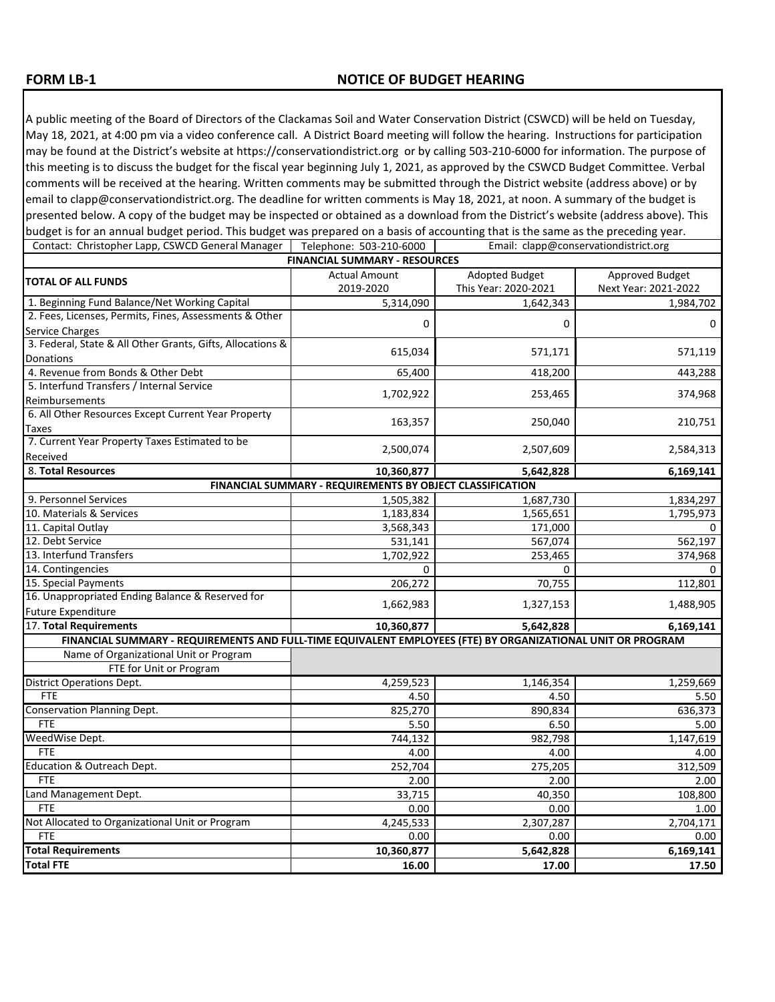## **FORM LB-1**

A public meeting of the Board of Directors of the Clackamas Soil and Water Conservation District (CSWCD) will be held on Tuesday, May 18, 2021, at 4:00 pm via a video conference call. A District Board meeting will follow the hearing. Instructions for participation may be found at the District's website at https://conservationdistrict.org or by calling 503-210-6000 for information. The purpose of this meeting is to discuss the budget for the fiscal year beginning July 1, 2021, as approved by the CSWCD Budget Committee. Verbal comments will be received at the hearing. Written comments may be submitted through the District website (address above) or by email to clapp@conservationdistrict.org. The deadline for written comments is May 18, 2021, at noon. A summary of the budget is presented below. A copy of the budget may be inspected or obtained as a download from the District's website (address above). This budget is for an annual budget period. This budget was prepared on a basis of accounting that is the same as the preceding year.<br>Contact: Christopher Lann, CSWCD General Manager | Telephone: 503-210-6000 | Fmail: clann@con

| <b>FINANCIAL SUMMARY - RESOURCES</b><br><b>Actual Amount</b><br><b>Adopted Budget</b><br>Approved Budget<br><b>TOTAL OF ALL FUNDS</b><br>2019-2020<br>This Year: 2020-2021<br>Next Year: 2021-2022<br>1. Beginning Fund Balance/Net Working Capital<br>5,314,090<br>1,642,343<br>2. Fees, Licenses, Permits, Fines, Assessments & Other<br>0<br>0<br>0<br>Service Charges<br>3. Federal, State & All Other Grants, Gifts, Allocations &<br>615,034<br>571,119<br>571,171<br>Donations<br>4. Revenue from Bonds & Other Debt<br>65,400<br>418,200<br>443,288<br>5. Interfund Transfers / Internal Service<br>1,702,922<br>253,465<br>374,968<br>Reimbursements<br>6. All Other Resources Except Current Year Property<br>163,357<br>250,040<br>210,751<br>Taxes<br>7. Current Year Property Taxes Estimated to be<br>2,500,074<br>2,507,609<br>2,584,313<br>Received<br>8. Total Resources<br>10,360,877<br>5,642,828<br>6,169,141<br>FINANCIAL SUMMARY - REQUIREMENTS BY OBJECT CLASSIFICATION<br>9. Personnel Services<br>1,505,382<br>1,687,730<br>1,834,297<br>10. Materials & Services<br>1,183,834<br>1,565,651<br>1,795,973<br>11. Capital Outlay<br>3,568,343<br>171,000<br>12. Debt Service<br>567,074<br>531,141<br>562,197<br>13. Interfund Transfers<br>1,702,922<br>253,465<br>374,968<br>14. Contingencies<br>$\Omega$<br>$\Omega$<br>0<br>15. Special Payments<br>206,272<br>70,755<br>112,801<br>16. Unappropriated Ending Balance & Reserved for<br>1,662,983<br>1,327,153<br>1,488,905<br><b>Future Expenditure</b><br>17. Total Requirements<br>10,360,877<br>5,642,828<br>6,169,141<br>FINANCIAL SUMMARY - REQUIREMENTS AND FULL-TIME EQUIVALENT EMPLOYEES (FTE) BY ORGANIZATIONAL UNIT OR PROGRAM<br>Name of Organizational Unit or Program<br>FTE for Unit or Program<br><b>District Operations Dept.</b><br>4,259,523<br>1,146,354<br>1,259,669<br><b>FTE</b><br>4.50<br>4.50<br>Conservation Planning Dept.<br>825,270<br>890,834<br>636,373<br><b>FTE</b><br>5.50<br>6.50<br>5.00<br>WeedWise Dept.<br>744,132<br>982,798<br>1,147,619<br><b>FTE</b><br>4.00<br>4.00<br>4.00<br>Education & Outreach Dept.<br>252,704<br>275,205<br>312,509<br><b>FTE</b><br>2.00<br>2.00<br>2.00<br>Land Management Dept.<br>33,715<br>40,350<br>108,800<br><b>FTE</b><br>0.00<br>0.00<br>1.00<br>Not Allocated to Organizational Unit or Program<br>2,307,287<br>4,245,533<br>2,704,171<br><b>FTE</b><br>0.00<br>0.00<br>0.00<br><b>Total Requirements</b><br>10,360,877<br>5,642,828<br>6,169,141<br><b>Total FTE</b><br>16.00<br>17.00<br>17.50 | Contact: Christopher Lapp, CSWCD General Manager | Telephone: 503-210-6000<br>Email: clapp@conservationdistrict.org |  |           |  |  |
|-------------------------------------------------------------------------------------------------------------------------------------------------------------------------------------------------------------------------------------------------------------------------------------------------------------------------------------------------------------------------------------------------------------------------------------------------------------------------------------------------------------------------------------------------------------------------------------------------------------------------------------------------------------------------------------------------------------------------------------------------------------------------------------------------------------------------------------------------------------------------------------------------------------------------------------------------------------------------------------------------------------------------------------------------------------------------------------------------------------------------------------------------------------------------------------------------------------------------------------------------------------------------------------------------------------------------------------------------------------------------------------------------------------------------------------------------------------------------------------------------------------------------------------------------------------------------------------------------------------------------------------------------------------------------------------------------------------------------------------------------------------------------------------------------------------------------------------------------------------------------------------------------------------------------------------------------------------------------------------------------------------------------------------------------------------------------------------------------------------------------------------------------------------------------------------------------------------------------------------------------------------------------------------------------------------------------------------------------------------------------------------------------------------------------------------------------------------------------------------------------------------------------------------------------------------|--------------------------------------------------|------------------------------------------------------------------|--|-----------|--|--|
|                                                                                                                                                                                                                                                                                                                                                                                                                                                                                                                                                                                                                                                                                                                                                                                                                                                                                                                                                                                                                                                                                                                                                                                                                                                                                                                                                                                                                                                                                                                                                                                                                                                                                                                                                                                                                                                                                                                                                                                                                                                                                                                                                                                                                                                                                                                                                                                                                                                                                                                                                             |                                                  |                                                                  |  |           |  |  |
|                                                                                                                                                                                                                                                                                                                                                                                                                                                                                                                                                                                                                                                                                                                                                                                                                                                                                                                                                                                                                                                                                                                                                                                                                                                                                                                                                                                                                                                                                                                                                                                                                                                                                                                                                                                                                                                                                                                                                                                                                                                                                                                                                                                                                                                                                                                                                                                                                                                                                                                                                             |                                                  |                                                                  |  |           |  |  |
|                                                                                                                                                                                                                                                                                                                                                                                                                                                                                                                                                                                                                                                                                                                                                                                                                                                                                                                                                                                                                                                                                                                                                                                                                                                                                                                                                                                                                                                                                                                                                                                                                                                                                                                                                                                                                                                                                                                                                                                                                                                                                                                                                                                                                                                                                                                                                                                                                                                                                                                                                             |                                                  |                                                                  |  |           |  |  |
|                                                                                                                                                                                                                                                                                                                                                                                                                                                                                                                                                                                                                                                                                                                                                                                                                                                                                                                                                                                                                                                                                                                                                                                                                                                                                                                                                                                                                                                                                                                                                                                                                                                                                                                                                                                                                                                                                                                                                                                                                                                                                                                                                                                                                                                                                                                                                                                                                                                                                                                                                             |                                                  |                                                                  |  | 1,984,702 |  |  |
|                                                                                                                                                                                                                                                                                                                                                                                                                                                                                                                                                                                                                                                                                                                                                                                                                                                                                                                                                                                                                                                                                                                                                                                                                                                                                                                                                                                                                                                                                                                                                                                                                                                                                                                                                                                                                                                                                                                                                                                                                                                                                                                                                                                                                                                                                                                                                                                                                                                                                                                                                             |                                                  |                                                                  |  |           |  |  |
|                                                                                                                                                                                                                                                                                                                                                                                                                                                                                                                                                                                                                                                                                                                                                                                                                                                                                                                                                                                                                                                                                                                                                                                                                                                                                                                                                                                                                                                                                                                                                                                                                                                                                                                                                                                                                                                                                                                                                                                                                                                                                                                                                                                                                                                                                                                                                                                                                                                                                                                                                             |                                                  |                                                                  |  |           |  |  |
|                                                                                                                                                                                                                                                                                                                                                                                                                                                                                                                                                                                                                                                                                                                                                                                                                                                                                                                                                                                                                                                                                                                                                                                                                                                                                                                                                                                                                                                                                                                                                                                                                                                                                                                                                                                                                                                                                                                                                                                                                                                                                                                                                                                                                                                                                                                                                                                                                                                                                                                                                             |                                                  |                                                                  |  |           |  |  |
|                                                                                                                                                                                                                                                                                                                                                                                                                                                                                                                                                                                                                                                                                                                                                                                                                                                                                                                                                                                                                                                                                                                                                                                                                                                                                                                                                                                                                                                                                                                                                                                                                                                                                                                                                                                                                                                                                                                                                                                                                                                                                                                                                                                                                                                                                                                                                                                                                                                                                                                                                             |                                                  |                                                                  |  |           |  |  |
|                                                                                                                                                                                                                                                                                                                                                                                                                                                                                                                                                                                                                                                                                                                                                                                                                                                                                                                                                                                                                                                                                                                                                                                                                                                                                                                                                                                                                                                                                                                                                                                                                                                                                                                                                                                                                                                                                                                                                                                                                                                                                                                                                                                                                                                                                                                                                                                                                                                                                                                                                             |                                                  |                                                                  |  |           |  |  |
|                                                                                                                                                                                                                                                                                                                                                                                                                                                                                                                                                                                                                                                                                                                                                                                                                                                                                                                                                                                                                                                                                                                                                                                                                                                                                                                                                                                                                                                                                                                                                                                                                                                                                                                                                                                                                                                                                                                                                                                                                                                                                                                                                                                                                                                                                                                                                                                                                                                                                                                                                             |                                                  |                                                                  |  |           |  |  |
|                                                                                                                                                                                                                                                                                                                                                                                                                                                                                                                                                                                                                                                                                                                                                                                                                                                                                                                                                                                                                                                                                                                                                                                                                                                                                                                                                                                                                                                                                                                                                                                                                                                                                                                                                                                                                                                                                                                                                                                                                                                                                                                                                                                                                                                                                                                                                                                                                                                                                                                                                             |                                                  |                                                                  |  |           |  |  |
|                                                                                                                                                                                                                                                                                                                                                                                                                                                                                                                                                                                                                                                                                                                                                                                                                                                                                                                                                                                                                                                                                                                                                                                                                                                                                                                                                                                                                                                                                                                                                                                                                                                                                                                                                                                                                                                                                                                                                                                                                                                                                                                                                                                                                                                                                                                                                                                                                                                                                                                                                             |                                                  |                                                                  |  |           |  |  |
|                                                                                                                                                                                                                                                                                                                                                                                                                                                                                                                                                                                                                                                                                                                                                                                                                                                                                                                                                                                                                                                                                                                                                                                                                                                                                                                                                                                                                                                                                                                                                                                                                                                                                                                                                                                                                                                                                                                                                                                                                                                                                                                                                                                                                                                                                                                                                                                                                                                                                                                                                             |                                                  |                                                                  |  |           |  |  |
|                                                                                                                                                                                                                                                                                                                                                                                                                                                                                                                                                                                                                                                                                                                                                                                                                                                                                                                                                                                                                                                                                                                                                                                                                                                                                                                                                                                                                                                                                                                                                                                                                                                                                                                                                                                                                                                                                                                                                                                                                                                                                                                                                                                                                                                                                                                                                                                                                                                                                                                                                             |                                                  |                                                                  |  |           |  |  |
|                                                                                                                                                                                                                                                                                                                                                                                                                                                                                                                                                                                                                                                                                                                                                                                                                                                                                                                                                                                                                                                                                                                                                                                                                                                                                                                                                                                                                                                                                                                                                                                                                                                                                                                                                                                                                                                                                                                                                                                                                                                                                                                                                                                                                                                                                                                                                                                                                                                                                                                                                             |                                                  |                                                                  |  |           |  |  |
|                                                                                                                                                                                                                                                                                                                                                                                                                                                                                                                                                                                                                                                                                                                                                                                                                                                                                                                                                                                                                                                                                                                                                                                                                                                                                                                                                                                                                                                                                                                                                                                                                                                                                                                                                                                                                                                                                                                                                                                                                                                                                                                                                                                                                                                                                                                                                                                                                                                                                                                                                             |                                                  |                                                                  |  |           |  |  |
|                                                                                                                                                                                                                                                                                                                                                                                                                                                                                                                                                                                                                                                                                                                                                                                                                                                                                                                                                                                                                                                                                                                                                                                                                                                                                                                                                                                                                                                                                                                                                                                                                                                                                                                                                                                                                                                                                                                                                                                                                                                                                                                                                                                                                                                                                                                                                                                                                                                                                                                                                             |                                                  |                                                                  |  |           |  |  |
|                                                                                                                                                                                                                                                                                                                                                                                                                                                                                                                                                                                                                                                                                                                                                                                                                                                                                                                                                                                                                                                                                                                                                                                                                                                                                                                                                                                                                                                                                                                                                                                                                                                                                                                                                                                                                                                                                                                                                                                                                                                                                                                                                                                                                                                                                                                                                                                                                                                                                                                                                             |                                                  |                                                                  |  |           |  |  |
|                                                                                                                                                                                                                                                                                                                                                                                                                                                                                                                                                                                                                                                                                                                                                                                                                                                                                                                                                                                                                                                                                                                                                                                                                                                                                                                                                                                                                                                                                                                                                                                                                                                                                                                                                                                                                                                                                                                                                                                                                                                                                                                                                                                                                                                                                                                                                                                                                                                                                                                                                             |                                                  |                                                                  |  |           |  |  |
|                                                                                                                                                                                                                                                                                                                                                                                                                                                                                                                                                                                                                                                                                                                                                                                                                                                                                                                                                                                                                                                                                                                                                                                                                                                                                                                                                                                                                                                                                                                                                                                                                                                                                                                                                                                                                                                                                                                                                                                                                                                                                                                                                                                                                                                                                                                                                                                                                                                                                                                                                             |                                                  |                                                                  |  | 0         |  |  |
|                                                                                                                                                                                                                                                                                                                                                                                                                                                                                                                                                                                                                                                                                                                                                                                                                                                                                                                                                                                                                                                                                                                                                                                                                                                                                                                                                                                                                                                                                                                                                                                                                                                                                                                                                                                                                                                                                                                                                                                                                                                                                                                                                                                                                                                                                                                                                                                                                                                                                                                                                             |                                                  |                                                                  |  |           |  |  |
|                                                                                                                                                                                                                                                                                                                                                                                                                                                                                                                                                                                                                                                                                                                                                                                                                                                                                                                                                                                                                                                                                                                                                                                                                                                                                                                                                                                                                                                                                                                                                                                                                                                                                                                                                                                                                                                                                                                                                                                                                                                                                                                                                                                                                                                                                                                                                                                                                                                                                                                                                             |                                                  |                                                                  |  |           |  |  |
|                                                                                                                                                                                                                                                                                                                                                                                                                                                                                                                                                                                                                                                                                                                                                                                                                                                                                                                                                                                                                                                                                                                                                                                                                                                                                                                                                                                                                                                                                                                                                                                                                                                                                                                                                                                                                                                                                                                                                                                                                                                                                                                                                                                                                                                                                                                                                                                                                                                                                                                                                             |                                                  |                                                                  |  |           |  |  |
|                                                                                                                                                                                                                                                                                                                                                                                                                                                                                                                                                                                                                                                                                                                                                                                                                                                                                                                                                                                                                                                                                                                                                                                                                                                                                                                                                                                                                                                                                                                                                                                                                                                                                                                                                                                                                                                                                                                                                                                                                                                                                                                                                                                                                                                                                                                                                                                                                                                                                                                                                             |                                                  |                                                                  |  |           |  |  |
|                                                                                                                                                                                                                                                                                                                                                                                                                                                                                                                                                                                                                                                                                                                                                                                                                                                                                                                                                                                                                                                                                                                                                                                                                                                                                                                                                                                                                                                                                                                                                                                                                                                                                                                                                                                                                                                                                                                                                                                                                                                                                                                                                                                                                                                                                                                                                                                                                                                                                                                                                             |                                                  |                                                                  |  |           |  |  |
|                                                                                                                                                                                                                                                                                                                                                                                                                                                                                                                                                                                                                                                                                                                                                                                                                                                                                                                                                                                                                                                                                                                                                                                                                                                                                                                                                                                                                                                                                                                                                                                                                                                                                                                                                                                                                                                                                                                                                                                                                                                                                                                                                                                                                                                                                                                                                                                                                                                                                                                                                             |                                                  |                                                                  |  |           |  |  |
|                                                                                                                                                                                                                                                                                                                                                                                                                                                                                                                                                                                                                                                                                                                                                                                                                                                                                                                                                                                                                                                                                                                                                                                                                                                                                                                                                                                                                                                                                                                                                                                                                                                                                                                                                                                                                                                                                                                                                                                                                                                                                                                                                                                                                                                                                                                                                                                                                                                                                                                                                             |                                                  |                                                                  |  |           |  |  |
|                                                                                                                                                                                                                                                                                                                                                                                                                                                                                                                                                                                                                                                                                                                                                                                                                                                                                                                                                                                                                                                                                                                                                                                                                                                                                                                                                                                                                                                                                                                                                                                                                                                                                                                                                                                                                                                                                                                                                                                                                                                                                                                                                                                                                                                                                                                                                                                                                                                                                                                                                             |                                                  |                                                                  |  |           |  |  |
|                                                                                                                                                                                                                                                                                                                                                                                                                                                                                                                                                                                                                                                                                                                                                                                                                                                                                                                                                                                                                                                                                                                                                                                                                                                                                                                                                                                                                                                                                                                                                                                                                                                                                                                                                                                                                                                                                                                                                                                                                                                                                                                                                                                                                                                                                                                                                                                                                                                                                                                                                             |                                                  |                                                                  |  |           |  |  |
|                                                                                                                                                                                                                                                                                                                                                                                                                                                                                                                                                                                                                                                                                                                                                                                                                                                                                                                                                                                                                                                                                                                                                                                                                                                                                                                                                                                                                                                                                                                                                                                                                                                                                                                                                                                                                                                                                                                                                                                                                                                                                                                                                                                                                                                                                                                                                                                                                                                                                                                                                             |                                                  |                                                                  |  |           |  |  |
|                                                                                                                                                                                                                                                                                                                                                                                                                                                                                                                                                                                                                                                                                                                                                                                                                                                                                                                                                                                                                                                                                                                                                                                                                                                                                                                                                                                                                                                                                                                                                                                                                                                                                                                                                                                                                                                                                                                                                                                                                                                                                                                                                                                                                                                                                                                                                                                                                                                                                                                                                             |                                                  |                                                                  |  |           |  |  |
|                                                                                                                                                                                                                                                                                                                                                                                                                                                                                                                                                                                                                                                                                                                                                                                                                                                                                                                                                                                                                                                                                                                                                                                                                                                                                                                                                                                                                                                                                                                                                                                                                                                                                                                                                                                                                                                                                                                                                                                                                                                                                                                                                                                                                                                                                                                                                                                                                                                                                                                                                             |                                                  |                                                                  |  | 5.50      |  |  |
|                                                                                                                                                                                                                                                                                                                                                                                                                                                                                                                                                                                                                                                                                                                                                                                                                                                                                                                                                                                                                                                                                                                                                                                                                                                                                                                                                                                                                                                                                                                                                                                                                                                                                                                                                                                                                                                                                                                                                                                                                                                                                                                                                                                                                                                                                                                                                                                                                                                                                                                                                             |                                                  |                                                                  |  |           |  |  |
|                                                                                                                                                                                                                                                                                                                                                                                                                                                                                                                                                                                                                                                                                                                                                                                                                                                                                                                                                                                                                                                                                                                                                                                                                                                                                                                                                                                                                                                                                                                                                                                                                                                                                                                                                                                                                                                                                                                                                                                                                                                                                                                                                                                                                                                                                                                                                                                                                                                                                                                                                             |                                                  |                                                                  |  |           |  |  |
|                                                                                                                                                                                                                                                                                                                                                                                                                                                                                                                                                                                                                                                                                                                                                                                                                                                                                                                                                                                                                                                                                                                                                                                                                                                                                                                                                                                                                                                                                                                                                                                                                                                                                                                                                                                                                                                                                                                                                                                                                                                                                                                                                                                                                                                                                                                                                                                                                                                                                                                                                             |                                                  |                                                                  |  |           |  |  |
|                                                                                                                                                                                                                                                                                                                                                                                                                                                                                                                                                                                                                                                                                                                                                                                                                                                                                                                                                                                                                                                                                                                                                                                                                                                                                                                                                                                                                                                                                                                                                                                                                                                                                                                                                                                                                                                                                                                                                                                                                                                                                                                                                                                                                                                                                                                                                                                                                                                                                                                                                             |                                                  |                                                                  |  |           |  |  |
|                                                                                                                                                                                                                                                                                                                                                                                                                                                                                                                                                                                                                                                                                                                                                                                                                                                                                                                                                                                                                                                                                                                                                                                                                                                                                                                                                                                                                                                                                                                                                                                                                                                                                                                                                                                                                                                                                                                                                                                                                                                                                                                                                                                                                                                                                                                                                                                                                                                                                                                                                             |                                                  |                                                                  |  |           |  |  |
|                                                                                                                                                                                                                                                                                                                                                                                                                                                                                                                                                                                                                                                                                                                                                                                                                                                                                                                                                                                                                                                                                                                                                                                                                                                                                                                                                                                                                                                                                                                                                                                                                                                                                                                                                                                                                                                                                                                                                                                                                                                                                                                                                                                                                                                                                                                                                                                                                                                                                                                                                             |                                                  |                                                                  |  |           |  |  |
|                                                                                                                                                                                                                                                                                                                                                                                                                                                                                                                                                                                                                                                                                                                                                                                                                                                                                                                                                                                                                                                                                                                                                                                                                                                                                                                                                                                                                                                                                                                                                                                                                                                                                                                                                                                                                                                                                                                                                                                                                                                                                                                                                                                                                                                                                                                                                                                                                                                                                                                                                             |                                                  |                                                                  |  |           |  |  |
|                                                                                                                                                                                                                                                                                                                                                                                                                                                                                                                                                                                                                                                                                                                                                                                                                                                                                                                                                                                                                                                                                                                                                                                                                                                                                                                                                                                                                                                                                                                                                                                                                                                                                                                                                                                                                                                                                                                                                                                                                                                                                                                                                                                                                                                                                                                                                                                                                                                                                                                                                             |                                                  |                                                                  |  |           |  |  |
|                                                                                                                                                                                                                                                                                                                                                                                                                                                                                                                                                                                                                                                                                                                                                                                                                                                                                                                                                                                                                                                                                                                                                                                                                                                                                                                                                                                                                                                                                                                                                                                                                                                                                                                                                                                                                                                                                                                                                                                                                                                                                                                                                                                                                                                                                                                                                                                                                                                                                                                                                             |                                                  |                                                                  |  |           |  |  |
|                                                                                                                                                                                                                                                                                                                                                                                                                                                                                                                                                                                                                                                                                                                                                                                                                                                                                                                                                                                                                                                                                                                                                                                                                                                                                                                                                                                                                                                                                                                                                                                                                                                                                                                                                                                                                                                                                                                                                                                                                                                                                                                                                                                                                                                                                                                                                                                                                                                                                                                                                             |                                                  |                                                                  |  |           |  |  |
|                                                                                                                                                                                                                                                                                                                                                                                                                                                                                                                                                                                                                                                                                                                                                                                                                                                                                                                                                                                                                                                                                                                                                                                                                                                                                                                                                                                                                                                                                                                                                                                                                                                                                                                                                                                                                                                                                                                                                                                                                                                                                                                                                                                                                                                                                                                                                                                                                                                                                                                                                             |                                                  |                                                                  |  |           |  |  |
|                                                                                                                                                                                                                                                                                                                                                                                                                                                                                                                                                                                                                                                                                                                                                                                                                                                                                                                                                                                                                                                                                                                                                                                                                                                                                                                                                                                                                                                                                                                                                                                                                                                                                                                                                                                                                                                                                                                                                                                                                                                                                                                                                                                                                                                                                                                                                                                                                                                                                                                                                             |                                                  |                                                                  |  |           |  |  |